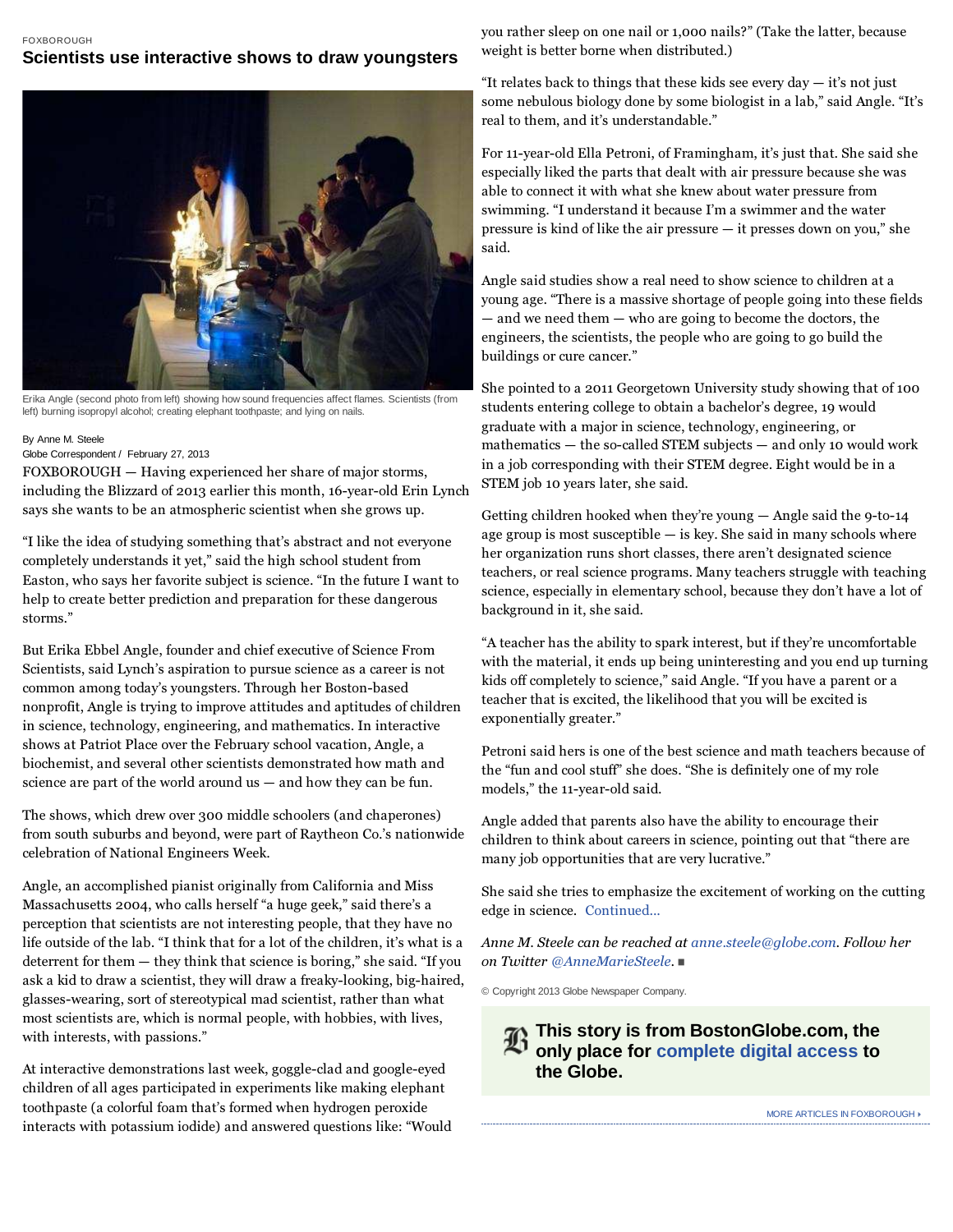## FOXBOROUGH

## **Scientists use interactive shows to draw youngsters**



Erika Angle (second photo from left) showing how sound frequencies affect flames. Scientists (from left) burning isopropyl alcohol; creating elephant toothpaste; and lying on nails.

## By Anne M. Steele

## Globe Correspondent / February 27, 2013

FOXBOROUGH — Having experienced her share of major storms, including the Blizzard of 2013 earlier this month, 16-year-old Erin Lynch says she wants to be an atmospheric scientist when she grows up.

"I like the idea of studying something that's abstract and not everyone completely understands it yet," said the high school student from Easton, who says her favorite subject is science. "In the future I want to help to create better prediction and preparation for these dangerous storms."

But Erika Ebbel Angle, founder and chief executive of Science From Scientists, said Lynch's aspiration to pursue science as a career is not common among today's youngsters. Through her Boston-based nonprofit, Angle is trying to improve attitudes and aptitudes of children in science, technology, engineering, and mathematics. In interactive shows at Patriot Place over the February school vacation, Angle, a biochemist, and several other scientists demonstrated how math and science are part of the world around  $us -$  and how they can be fun.

The shows, which drew over 300 middle schoolers (and chaperones) from south suburbs and beyond, were part of Raytheon Co.'s nationwide celebration of National Engineers Week.

Angle, an accomplished pianist originally from California and Miss Massachusetts 2004, who calls herself "a huge geek," said there's a perception that scientists are not interesting people, that they have no life outside of the lab. "I think that for a lot of the children, it's what is a deterrent for them — they think that science is boring," she said. "If you ask a kid to draw a scientist, they will draw a freaky-looking, big-haired, glasses-wearing, sort of stereotypical mad scientist, rather than what most scientists are, which is normal people, with hobbies, with lives, with interests, with passions."

At interactive demonstrations last week, goggle-clad and google-eyed children of all ages participated in experiments like making elephant toothpaste (a colorful foam that's formed when hydrogen peroxide interacts with potassium iodide) and answered questions like: "Would you rather sleep on one nail or 1,000 nails?" (Take the latter, because weight is better borne when distributed.)

"It relates back to things that these kids see every day  $-$  it's not just some nebulous biology done by some biologist in a lab," said Angle. "It's real to them, and it's understandable."

For 11-year-old Ella Petroni, of Framingham, it's just that. She said she especially liked the parts that dealt with air pressure because she was able to connect it with what she knew about water pressure from swimming. "I understand it because I'm a swimmer and the water pressure is kind of like the air pressure — it presses down on you," she said.

Angle said studies show a real need to show science to children at a young age. "There is a massive shortage of people going into these fields — and we need them — who are going to become the doctors, the engineers, the scientists, the people who are going to go build the buildings or cure cancer."

She pointed to a 2011 Georgetown University study showing that of 100 students entering college to obtain a bachelor's degree, 19 would graduate with a major in science, technology, engineering, or mathematics — the so-called STEM subjects — and only 10 would work in a job corresponding with their STEM degree. Eight would be in a STEM job 10 years later, she said.

Getting children hooked when they're young — Angle said the 9-to-14 age group is most susceptible — is key. She said in many schools where her organization runs short classes, there aren't designated science teachers, or real science programs. Many teachers struggle with teaching science, especially in elementary school, because they don't have a lot of background in it, she said.

"A teacher has the ability to spark interest, but if they're uncomfortable with the material, it ends up being uninteresting and you end up turning kids off completely to science," said Angle. "If you have a parent or a teacher that is excited, the likelihood that you will be excited is exponentially greater."

Petroni said hers is one of the best science and math teachers because of the "fun and cool stuff" she does. "She is definitely one of my role models," the 11-year-old said.

Angle added that parents also have the ability to encourage their children to think about careers in science, pointing out that "there are many job opportunities that are very lucrative."

She said she tries to emphasize the excitement of working on the cutting edge in science. Continued...

Anne M. Steele can be reached at anne.steele@globe.com. Follow her on Twitter @AnneMarieSteele.

© Copyright 2013 Globe Newspaper Company.

**This story is from BostonGlobe.com, the only place for complete digital access to the Globe.**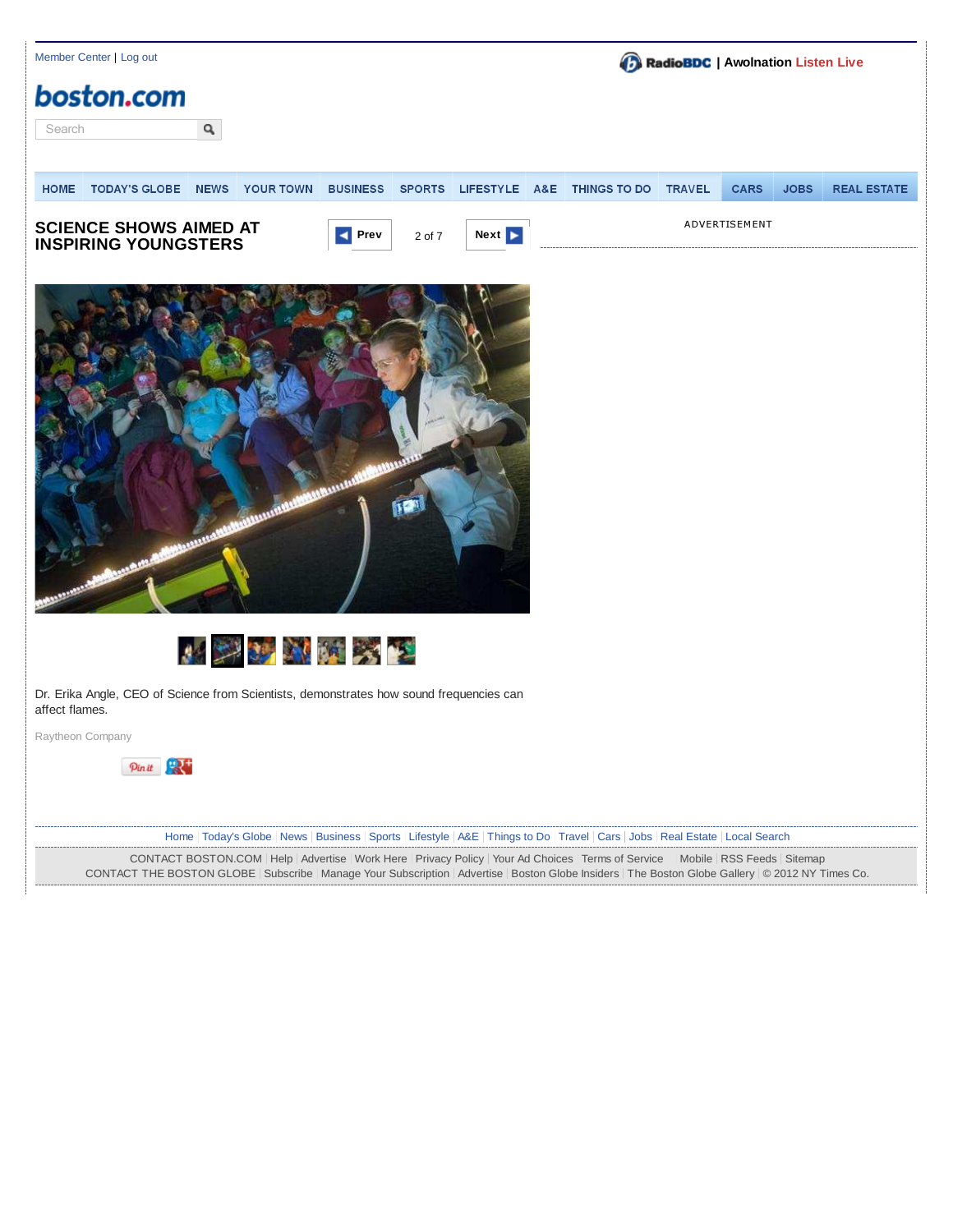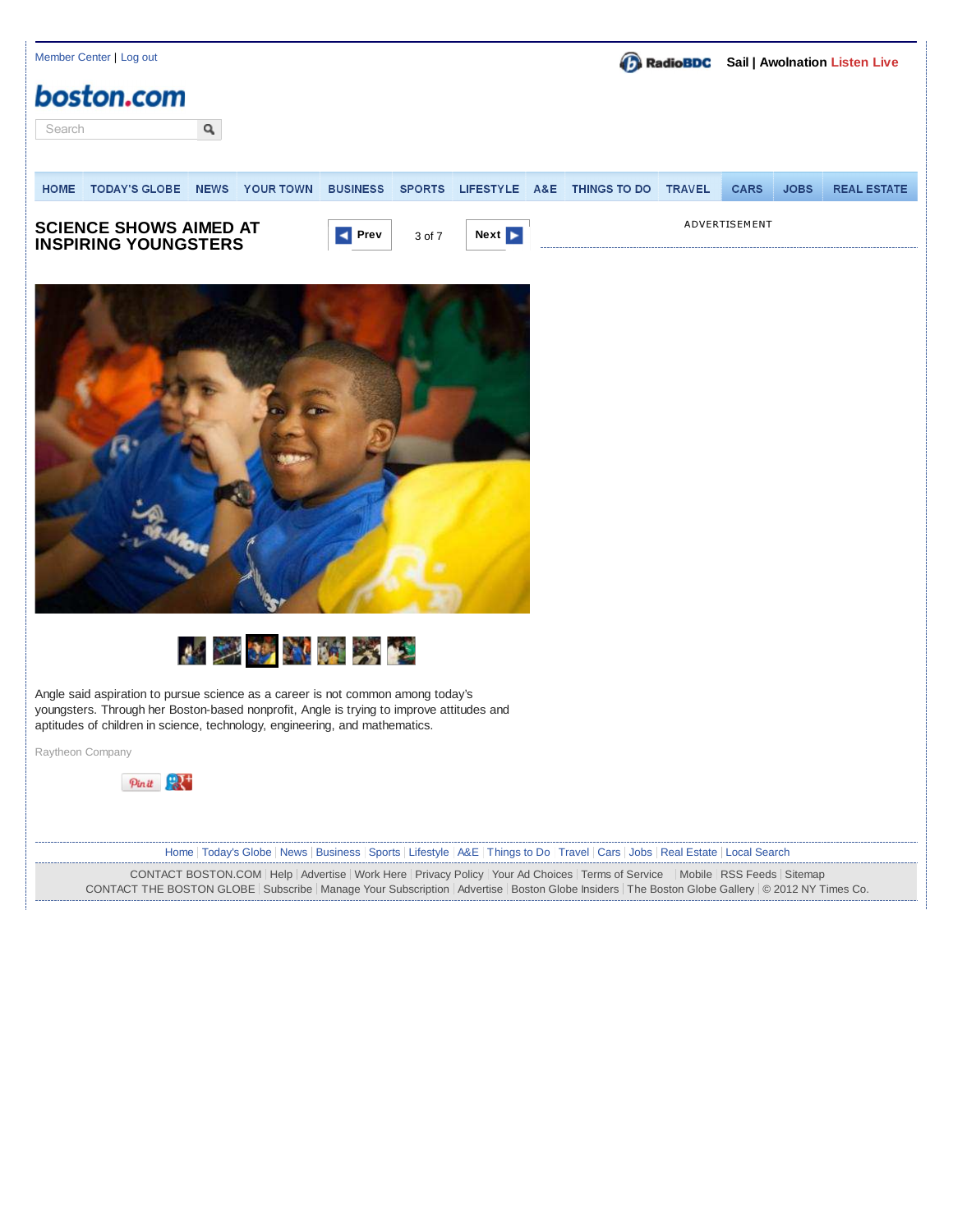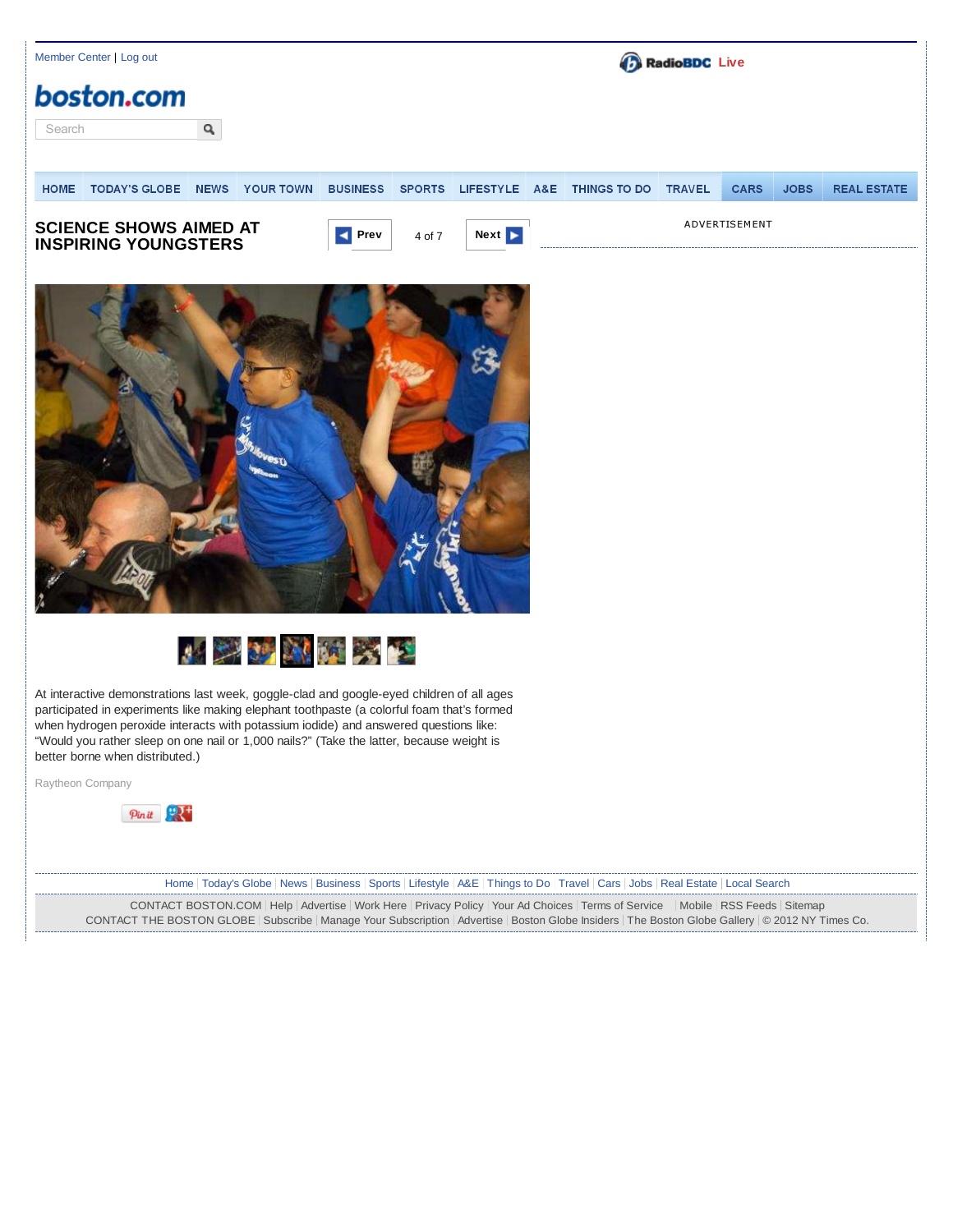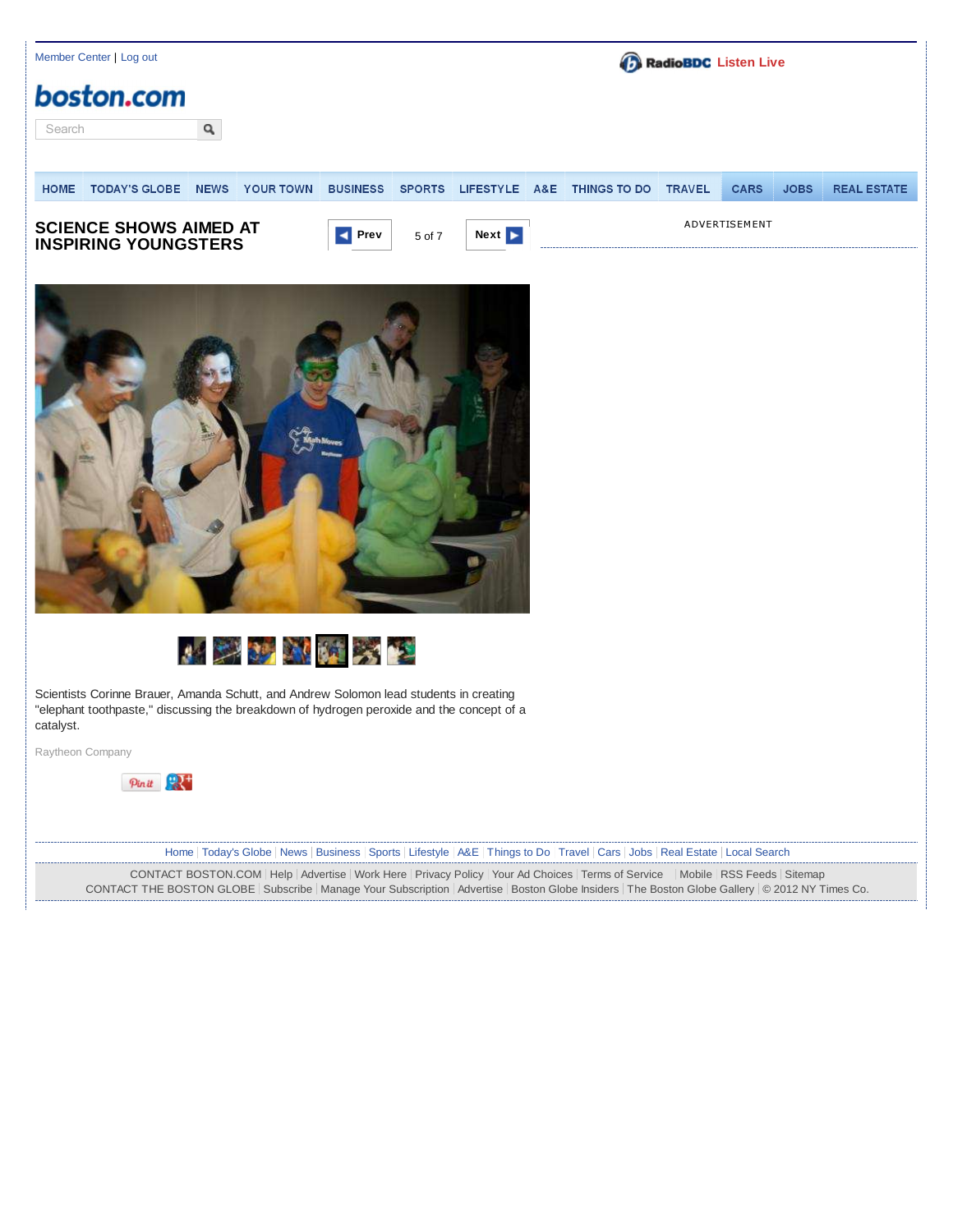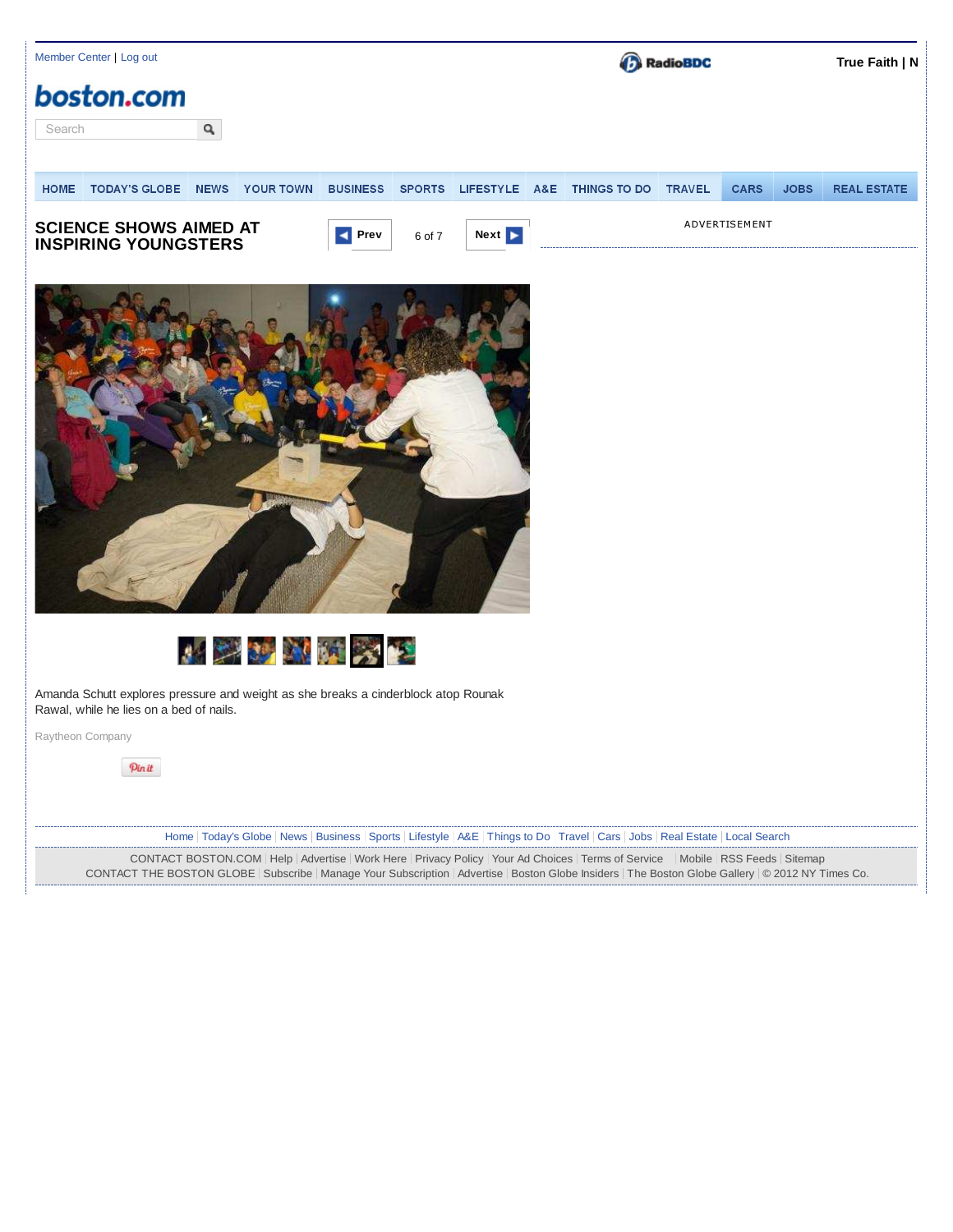